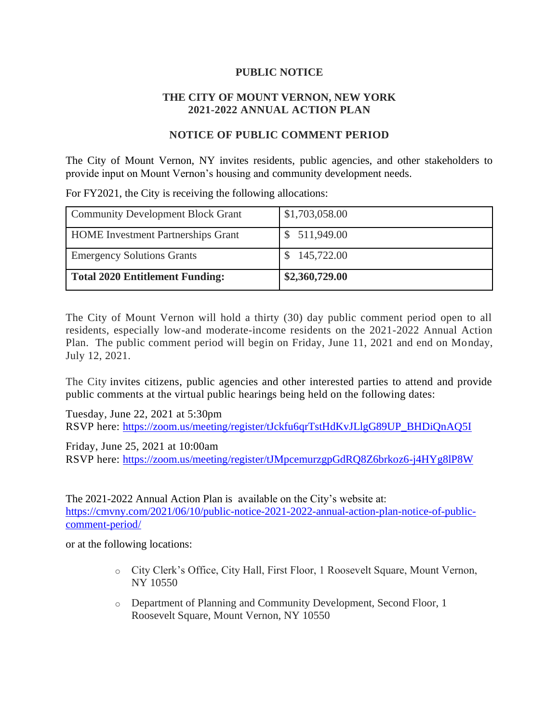## **PUBLIC NOTICE**

## **THE CITY OF MOUNT VERNON, NEW YORK 2021-2022 ANNUAL ACTION PLAN**

## **NOTICE OF PUBLIC COMMENT PERIOD**

The City of Mount Vernon, NY invites residents, public agencies, and other stakeholders to provide input on Mount Vernon's housing and community development needs.

Community Development Block Grant \$1,703,058.00 HOME Investment Partnerships Grant \$ 511,949.00 Emergency Solutions Grants  $\qquad$  \$ 145,722.00 **Total 2020 Entitlement Funding: \$2,360,729.00**

For FY2021, the City is receiving the following allocations:

The City of Mount Vernon will hold a thirty (30) day public comment period open to all residents, especially low-and moderate-income residents on the 2021-2022 Annual Action Plan. The public comment period will begin on Friday, June 11, 2021 and end on Monday, July 12, 2021.

The City invites citizens, public agencies and other interested parties to attend and provide public comments at the virtual public hearings being held on the following dates:

Tuesday, June 22, 2021 at 5:30pm RSVP here: [https://zoom.us/meeting/register/tJckfu6qrTstHdKvJLlgG89UP\\_BHDiQnAQ5I](https://zoom.us/meeting/register/tJckfu6qrTstHdKvJLlgG89UP_BHDiQnAQ5I)

Friday, June 25, 2021 at 10:00am RSVP here: <https://zoom.us/meeting/register/tJMpcemurzgpGdRQ8Z6brkoz6-j4HYg8lP8W>

The 2021-2022 Annual Action Plan is available on the City's website at: [https://cmvny.com/2021/06/10/public-notice-2021-2022-annual-action-plan-notice-of-public](https://cmvny.com/2021/06/10/public-notice-2021-2022-annual-action-plan-notice-of-public-comment-period/)[comment-period/](https://cmvny.com/2021/06/10/public-notice-2021-2022-annual-action-plan-notice-of-public-comment-period/)

or at the following locations:

- o City Clerk's Office, City Hall, First Floor, 1 Roosevelt Square, Mount Vernon, NY 10550
- o Department of Planning and Community Development, Second Floor, 1 Roosevelt Square, Mount Vernon, NY 10550